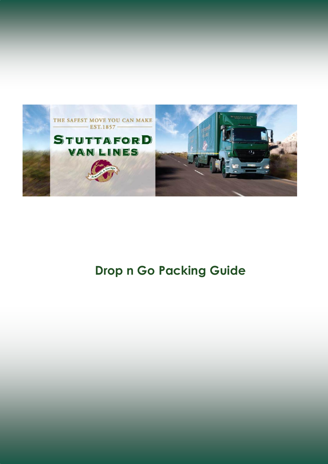

## **Drop n Go Packing Guide**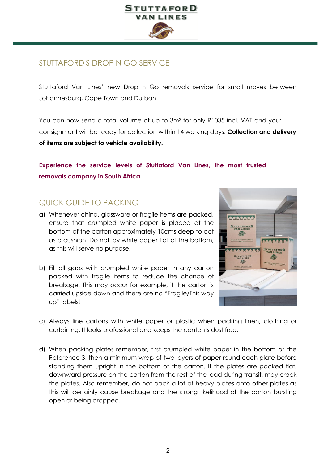

## STUTTAFORD'S DROP N GO SERVICE

Stuttaford Van Lines' new Drop n Go removals service for small moves between Johannesburg, Cape Town and Durban.

You can now send a total volume of up to 3m<sup>3</sup> for only R1035 incl. VAT and your consignment will be ready for collection within 14 working days. **Collection and delivery of items are subject to vehicle availability.**

## **Experience the service levels of Stuttaford Van Lines, the most trusted removals company in South Africa.**

## QUICK GUIDE TO PACKING

- a) Whenever china, glassware or fragile items are packed, ensure that crumpled white paper is placed at the bottom of the carton approximately 10cms deep to act as a cushion. Do not lay white paper flat at the bottom, as this will serve no purpose.
- b) Fill all gaps with crumpled white paper in any carton packed with fragile items to reduce the chance of breakage. This may occur for example, if the carton is carried upside down and there are no "Fragile/This way up" labels!



- c) Always line cartons with white paper or plastic when packing linen, clothing or curtaining. It looks professional and keeps the contents dust free.
- d) When packing plates remember, first crumpled white paper in the bottom of the Reference 3, then a minimum wrap of two layers of paper round each plate before standing them upright in the bottom of the carton. If the plates are packed flat, downward pressure on the carton from the rest of the load during transit, may crack the plates. Also remember, do not pack a lot of heavy plates onto other plates as this will certainly cause breakage and the strong likelihood of the carton bursting open or being dropped.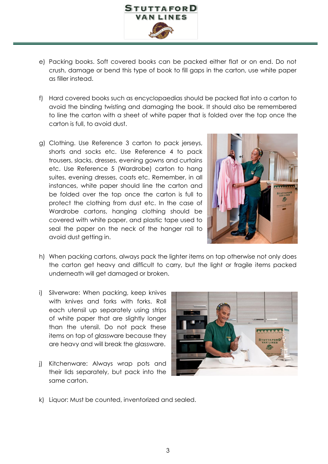

- e) Packing books. Soft covered books can be packed either flat or on end. Do not crush, damage or bend this type of book to fill gaps in the carton, use white paper as filler instead.
- f) Hard covered books such as encyclopaedias should be packed flat into a carton to avoid the binding twisting and damaging the book. It should also be remembered to line the carton with a sheet of white paper that is folded over the top once the carton is full, to avoid dust.
- g) Clothing. Use Reference 3 carton to pack jerseys, shorts and socks etc. Use Reference 4 to pack trousers, slacks, dresses, evening gowns and curtains etc. Use Reference 5 (Wardrobe) carton to hang suites, evening dresses, coats etc. Remember, in all instances, white paper should line the carton and be folded over the top once the carton is full to protect the clothing from dust etc. In the case of Wardrobe cartons, hanging clothing should be covered with white paper, and plastic tape used to seal the paper on the neck of the hanger rail to avoid dust getting in.



- h) When packing cartons, always pack the lighter items on top otherwise not only does the carton get heavy and difficult to carry, but the light or fragile items packed underneath will get damaged or broken.
- i) Silverware: When packing, keep knives with knives and forks with forks. Roll each utensil up separately using strips of white paper that are slightly longer than the utensil. Do not pack these items on top of glassware because they are heavy and will break the glassware.
- j) Kitchenware: Always wrap pots and their lids separately, but pack into the same carton.



k) Liquor: Must be counted, inventorized and sealed.